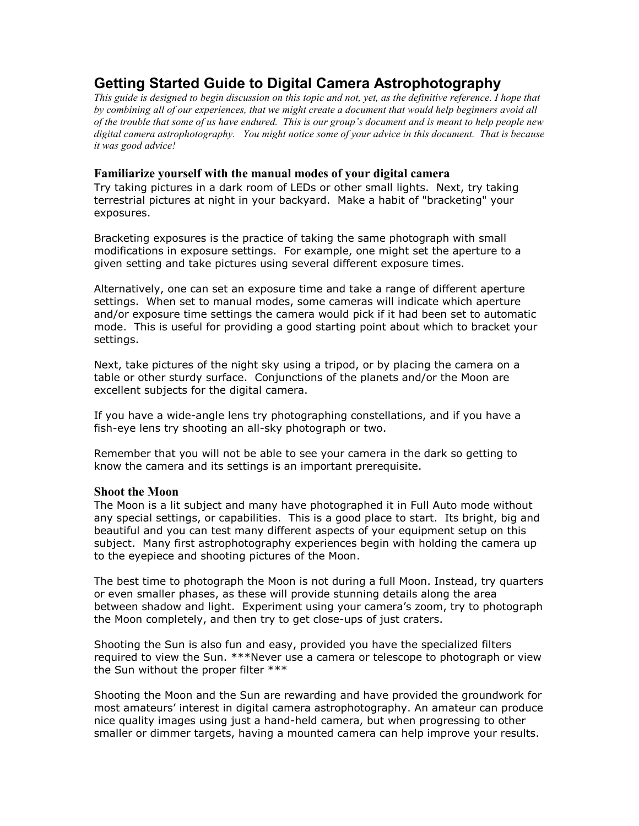# **Getting Started Guide to Digital Camera Astrophotography**

*This guide is designed to begin discussion on this topic and not, yet, as the definitive reference. I hope that by combining all of our experiences, that we might create a document that would help beginners avoid all of the trouble that some of us have endured. This is our group's document and is meant to help people new digital camera astrophotography. You might notice some of your advice in this document. That is because it was good advice!* 

# **Familiarize yourself with the manual modes of your digital camera**

Try taking pictures in a dark room of LEDs or other small lights. Next, try taking terrestrial pictures at night in your backyard. Make a habit of "bracketing" your exposures.

Bracketing exposures is the practice of taking the same photograph with small modifications in exposure settings. For example, one might set the aperture to a given setting and take pictures using several different exposure times.

Alternatively, one can set an exposure time and take a range of different aperture settings. When set to manual modes, some cameras will indicate which aperture and/or exposure time settings the camera would pick if it had been set to automatic mode. This is useful for providing a good starting point about which to bracket your settings.

Next, take pictures of the night sky using a tripod, or by placing the camera on a table or other sturdy surface. Conjunctions of the planets and/or the Moon are excellent subjects for the digital camera.

If you have a wide-angle lens try photographing constellations, and if you have a fish-eye lens try shooting an all-sky photograph or two.

Remember that you will not be able to see your camera in the dark so getting to know the camera and its settings is an important prerequisite.

# **Shoot the Moon**

The Moon is a lit subject and many have photographed it in Full Auto mode without any special settings, or capabilities. This is a good place to start. Its bright, big and beautiful and you can test many different aspects of your equipment setup on this subject. Many first astrophotography experiences begin with holding the camera up to the eyepiece and shooting pictures of the Moon.

The best time to photograph the Moon is not during a full Moon. Instead, try quarters or even smaller phases, as these will provide stunning details along the area between shadow and light. Experiment using your camera's zoom, try to photograph the Moon completely, and then try to get close-ups of just craters.

Shooting the Sun is also fun and easy, provided you have the specialized filters required to view the Sun. \*\*\*Never use a camera or telescope to photograph or view the Sun without the proper filter \*\*\*

Shooting the Moon and the Sun are rewarding and have provided the groundwork for most amateurs' interest in digital camera astrophotography. An amateur can produce nice quality images using just a hand-held camera, but when progressing to other smaller or dimmer targets, having a mounted camera can help improve your results.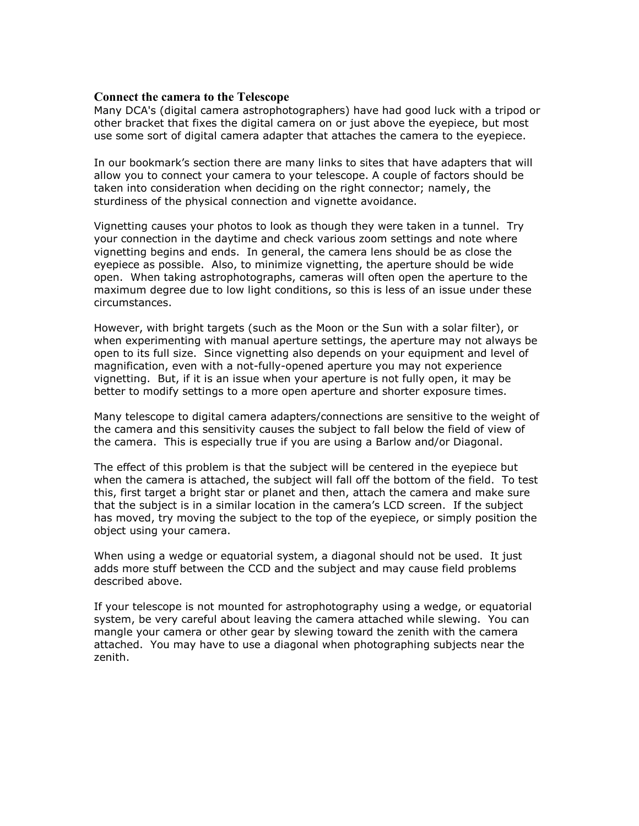# **Connect the camera to the Telescope**

Many DCA's (digital camera astrophotographers) have had good luck with a tripod or other bracket that fixes the digital camera on or just above the eyepiece, but most use some sort of digital camera adapter that attaches the camera to the eyepiece.

In our bookmark's section there are many links to sites that have adapters that will allow you to connect your camera to your telescope. A couple of factors should be taken into consideration when deciding on the right connector; namely, the sturdiness of the physical connection and vignette avoidance.

Vignetting causes your photos to look as though they were taken in a tunnel. Try your connection in the daytime and check various zoom settings and note where vignetting begins and ends. In general, the camera lens should be as close the eyepiece as possible. Also, to minimize vignetting, the aperture should be wide open. When taking astrophotographs, cameras will often open the aperture to the maximum degree due to low light conditions, so this is less of an issue under these circumstances.

However, with bright targets (such as the Moon or the Sun with a solar filter), or when experimenting with manual aperture settings, the aperture may not always be open to its full size. Since vignetting also depends on your equipment and level of magnification, even with a not-fully-opened aperture you may not experience vignetting. But, if it is an issue when your aperture is not fully open, it may be better to modify settings to a more open aperture and shorter exposure times.

Many telescope to digital camera adapters/connections are sensitive to the weight of the camera and this sensitivity causes the subject to fall below the field of view of the camera. This is especially true if you are using a Barlow and/or Diagonal.

The effect of this problem is that the subject will be centered in the eyepiece but when the camera is attached, the subject will fall off the bottom of the field. To test this, first target a bright star or planet and then, attach the camera and make sure that the subject is in a similar location in the camera's LCD screen. If the subject has moved, try moving the subject to the top of the eyepiece, or simply position the object using your camera.

When using a wedge or equatorial system, a diagonal should not be used. It just adds more stuff between the CCD and the subject and may cause field problems described above.

If your telescope is not mounted for astrophotography using a wedge, or equatorial system, be very careful about leaving the camera attached while slewing. You can mangle your camera or other gear by slewing toward the zenith with the camera attached. You may have to use a diagonal when photographing subjects near the zenith.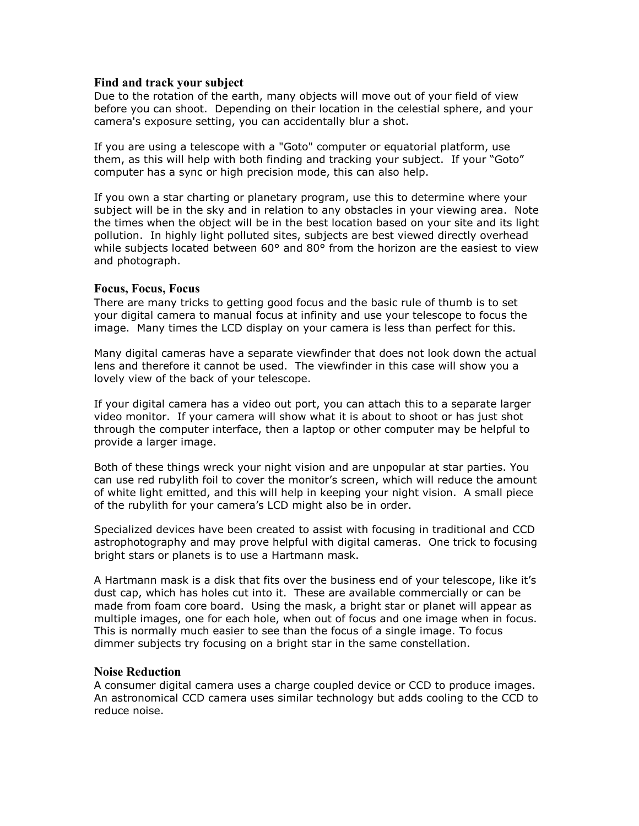# **Find and track your subject**

Due to the rotation of the earth, many objects will move out of your field of view before you can shoot. Depending on their location in the celestial sphere, and your camera's exposure setting, you can accidentally blur a shot.

If you are using a telescope with a "Goto" computer or equatorial platform, use them, as this will help with both finding and tracking your subject. If your "Goto" computer has a sync or high precision mode, this can also help.

If you own a star charting or planetary program, use this to determine where your subject will be in the sky and in relation to any obstacles in your viewing area. Note the times when the object will be in the best location based on your site and its light pollution. In highly light polluted sites, subjects are best viewed directly overhead while subjects located between 60° and 80° from the horizon are the easiest to view and photograph.

## **Focus, Focus, Focus**

There are many tricks to getting good focus and the basic rule of thumb is to set your digital camera to manual focus at infinity and use your telescope to focus the image. Many times the LCD display on your camera is less than perfect for this.

Many digital cameras have a separate viewfinder that does not look down the actual lens and therefore it cannot be used. The viewfinder in this case will show you a lovely view of the back of your telescope.

If your digital camera has a video out port, you can attach this to a separate larger video monitor. If your camera will show what it is about to shoot or has just shot through the computer interface, then a laptop or other computer may be helpful to provide a larger image.

Both of these things wreck your night vision and are unpopular at star parties. You can use red rubylith foil to cover the monitor's screen, which will reduce the amount of white light emitted, and this will help in keeping your night vision. A small piece of the rubylith for your camera's LCD might also be in order.

Specialized devices have been created to assist with focusing in traditional and CCD astrophotography and may prove helpful with digital cameras. One trick to focusing bright stars or planets is to use a Hartmann mask.

A Hartmann mask is a disk that fits over the business end of your telescope, like it's dust cap, which has holes cut into it. These are available commercially or can be made from foam core board. Using the mask, a bright star or planet will appear as multiple images, one for each hole, when out of focus and one image when in focus. This is normally much easier to see than the focus of a single image. To focus dimmer subjects try focusing on a bright star in the same constellation.

## **Noise Reduction**

A consumer digital camera uses a charge coupled device or CCD to produce images. An astronomical CCD camera uses similar technology but adds cooling to the CCD to reduce noise.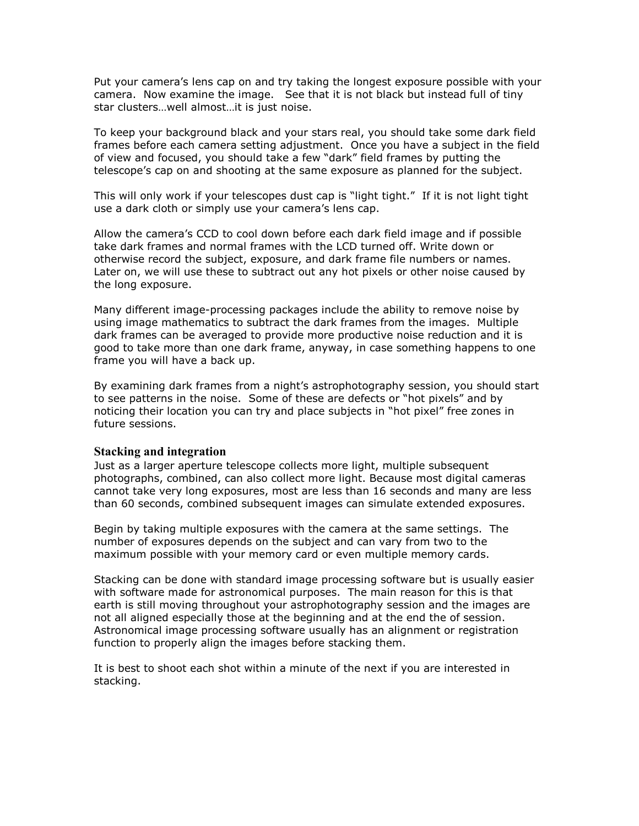Put your camera's lens cap on and try taking the longest exposure possible with your camera. Now examine the image. See that it is not black but instead full of tiny star clusters…well almost…it is just noise.

To keep your background black and your stars real, you should take some dark field frames before each camera setting adjustment. Once you have a subject in the field of view and focused, you should take a few "dark" field frames by putting the telescope's cap on and shooting at the same exposure as planned for the subject.

This will only work if your telescopes dust cap is "light tight." If it is not light tight use a dark cloth or simply use your camera's lens cap.

Allow the camera's CCD to cool down before each dark field image and if possible take dark frames and normal frames with the LCD turned off. Write down or otherwise record the subject, exposure, and dark frame file numbers or names. Later on, we will use these to subtract out any hot pixels or other noise caused by the long exposure.

Many different image-processing packages include the ability to remove noise by using image mathematics to subtract the dark frames from the images. Multiple dark frames can be averaged to provide more productive noise reduction and it is good to take more than one dark frame, anyway, in case something happens to one frame you will have a back up.

By examining dark frames from a night's astrophotography session, you should start to see patterns in the noise. Some of these are defects or "hot pixels" and by noticing their location you can try and place subjects in "hot pixel" free zones in future sessions.

### **Stacking and integration**

Just as a larger aperture telescope collects more light, multiple subsequent photographs, combined, can also collect more light. Because most digital cameras cannot take very long exposures, most are less than 16 seconds and many are less than 60 seconds, combined subsequent images can simulate extended exposures.

Begin by taking multiple exposures with the camera at the same settings. The number of exposures depends on the subject and can vary from two to the maximum possible with your memory card or even multiple memory cards.

Stacking can be done with standard image processing software but is usually easier with software made for astronomical purposes. The main reason for this is that earth is still moving throughout your astrophotography session and the images are not all aligned especially those at the beginning and at the end the of session. Astronomical image processing software usually has an alignment or registration function to properly align the images before stacking them.

It is best to shoot each shot within a minute of the next if you are interested in stacking.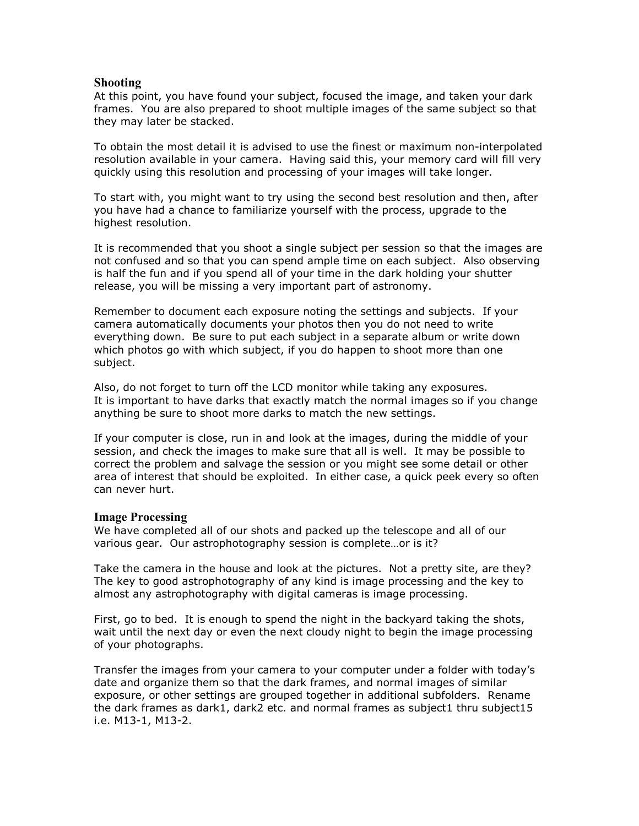## **Shooting**

At this point, you have found your subject, focused the image, and taken your dark frames. You are also prepared to shoot multiple images of the same subject so that they may later be stacked.

To obtain the most detail it is advised to use the finest or maximum non-interpolated resolution available in your camera. Having said this, your memory card will fill very quickly using this resolution and processing of your images will take longer.

To start with, you might want to try using the second best resolution and then, after you have had a chance to familiarize yourself with the process, upgrade to the highest resolution.

It is recommended that you shoot a single subject per session so that the images are not confused and so that you can spend ample time on each subject. Also observing is half the fun and if you spend all of your time in the dark holding your shutter release, you will be missing a very important part of astronomy.

Remember to document each exposure noting the settings and subjects. If your camera automatically documents your photos then you do not need to write everything down. Be sure to put each subject in a separate album or write down which photos go with which subject, if you do happen to shoot more than one subject.

Also, do not forget to turn off the LCD monitor while taking any exposures. It is important to have darks that exactly match the normal images so if you change anything be sure to shoot more darks to match the new settings.

If your computer is close, run in and look at the images, during the middle of your session, and check the images to make sure that all is well. It may be possible to correct the problem and salvage the session or you might see some detail or other area of interest that should be exploited. In either case, a quick peek every so often can never hurt.

### **Image Processing**

We have completed all of our shots and packed up the telescope and all of our various gear. Our astrophotography session is complete…or is it?

Take the camera in the house and look at the pictures. Not a pretty site, are they? The key to good astrophotography of any kind is image processing and the key to almost any astrophotography with digital cameras is image processing.

First, go to bed. It is enough to spend the night in the backyard taking the shots, wait until the next day or even the next cloudy night to begin the image processing of your photographs.

Transfer the images from your camera to your computer under a folder with today's date and organize them so that the dark frames, and normal images of similar exposure, or other settings are grouped together in additional subfolders. Rename the dark frames as dark1, dark2 etc. and normal frames as subject1 thru subject15 i.e. M13-1, M13-2.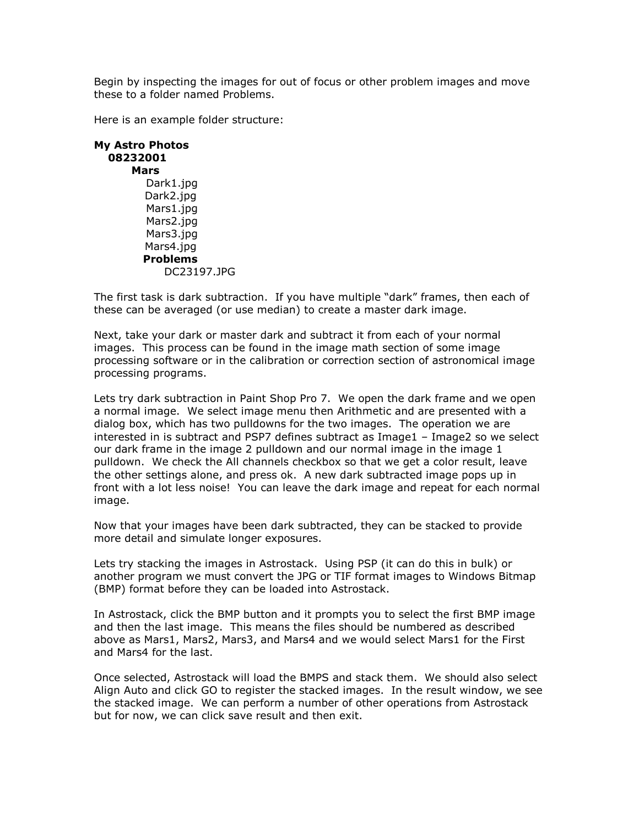Begin by inspecting the images for out of focus or other problem images and move these to a folder named Problems.

Here is an example folder structure:

| <b>My Astro Photos</b><br>08232001 |
|------------------------------------|
| Mars                               |
| Dark1.jpg                          |
| Dark2.jpg                          |
| Mars1.jpg                          |
| Mars2.jpg                          |
| Mars3.jpg                          |
| Mars4.jpg                          |
| <b>Problems</b>                    |
| DC23197.1PG                        |

The first task is dark subtraction. If you have multiple "dark" frames, then each of these can be averaged (or use median) to create a master dark image.

Next, take your dark or master dark and subtract it from each of your normal images. This process can be found in the image math section of some image processing software or in the calibration or correction section of astronomical image processing programs.

Lets try dark subtraction in Paint Shop Pro 7. We open the dark frame and we open a normal image. We select image menu then Arithmetic and are presented with a dialog box, which has two pulldowns for the two images. The operation we are interested in is subtract and PSP7 defines subtract as Image1 – Image2 so we select our dark frame in the image 2 pulldown and our normal image in the image 1 pulldown. We check the All channels checkbox so that we get a color result, leave the other settings alone, and press ok. A new dark subtracted image pops up in front with a lot less noise! You can leave the dark image and repeat for each normal image.

Now that your images have been dark subtracted, they can be stacked to provide more detail and simulate longer exposures.

Lets try stacking the images in Astrostack. Using PSP (it can do this in bulk) or another program we must convert the JPG or TIF format images to Windows Bitmap (BMP) format before they can be loaded into Astrostack.

In Astrostack, click the BMP button and it prompts you to select the first BMP image and then the last image. This means the files should be numbered as described above as Mars1, Mars2, Mars3, and Mars4 and we would select Mars1 for the First and Mars4 for the last.

Once selected, Astrostack will load the BMPS and stack them. We should also select Align Auto and click GO to register the stacked images. In the result window, we see the stacked image. We can perform a number of other operations from Astrostack but for now, we can click save result and then exit.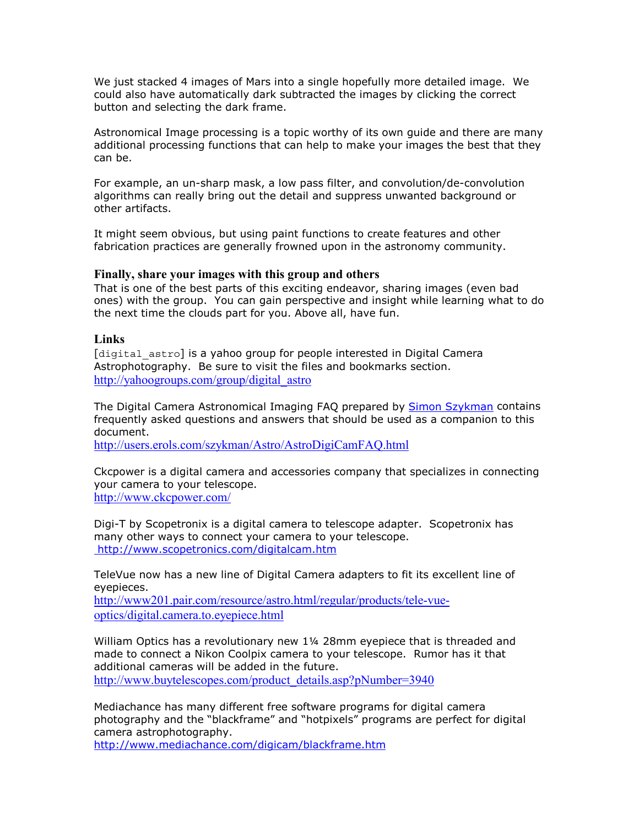We just stacked 4 images of Mars into a single hopefully more detailed image. We could also have automatically dark subtracted the images by clicking the correct button and selecting the dark frame.

Astronomical Image processing is a topic worthy of its own guide and there are many additional processing functions that can help to make your images the best that they can be.

For example, an un-sharp mask, a low pass filter, and convolution/de-convolution algorithms can really bring out the detail and suppress unwanted background or other artifacts.

It might seem obvious, but using paint functions to create features and other fabrication practices are generally frowned upon in the astronomy community.

### **Finally, share your images with this group and others**

That is one of the best parts of this exciting endeavor, sharing images (even bad ones) with the group. You can gain perspective and insight while learning what to do the next time the clouds part for you. Above all, have fun.

### **Links**

[digital astro] is a yahoo group for people interested in Digital Camera Astrophotography. Be sure to visit the files and bookmarks section. http://yahoogroups.com/group/digital\_astro

The Digital Camera Astronomical Imaging FAQ prepared by Simon Szykman contains frequently asked questions and answers that should be used as a companion to this document.

http://users.erols.com/szykman/Astro/AstroDigiCamFAQ.html

Ckcpower is a digital camera and accessories company that specializes in connecting your camera to your telescope. http://www.ckcpower.com/

Digi-T by Scopetronix is a digital camera to telescope adapter. Scopetronix has many other ways to connect your camera to your telescope. http://www.scopetronics.com/digitalcam.htm

TeleVue now has a new line of Digital Camera adapters to fit its excellent line of eyepieces.

http://www201.pair.com/resource/astro.html/regular/products/tele-vueoptics/digital.camera.to.eyepiece.html

William Optics has a revolutionary new 1¼ 28mm eyepiece that is threaded and made to connect a Nikon Coolpix camera to your telescope. Rumor has it that additional cameras will be added in the future.

http://www.buytelescopes.com/product\_details.asp?pNumber=3940

Mediachance has many different free software programs for digital camera photography and the "blackframe" and "hotpixels" programs are perfect for digital camera astrophotography.

http://www.mediachance.com/digicam/blackframe.htm